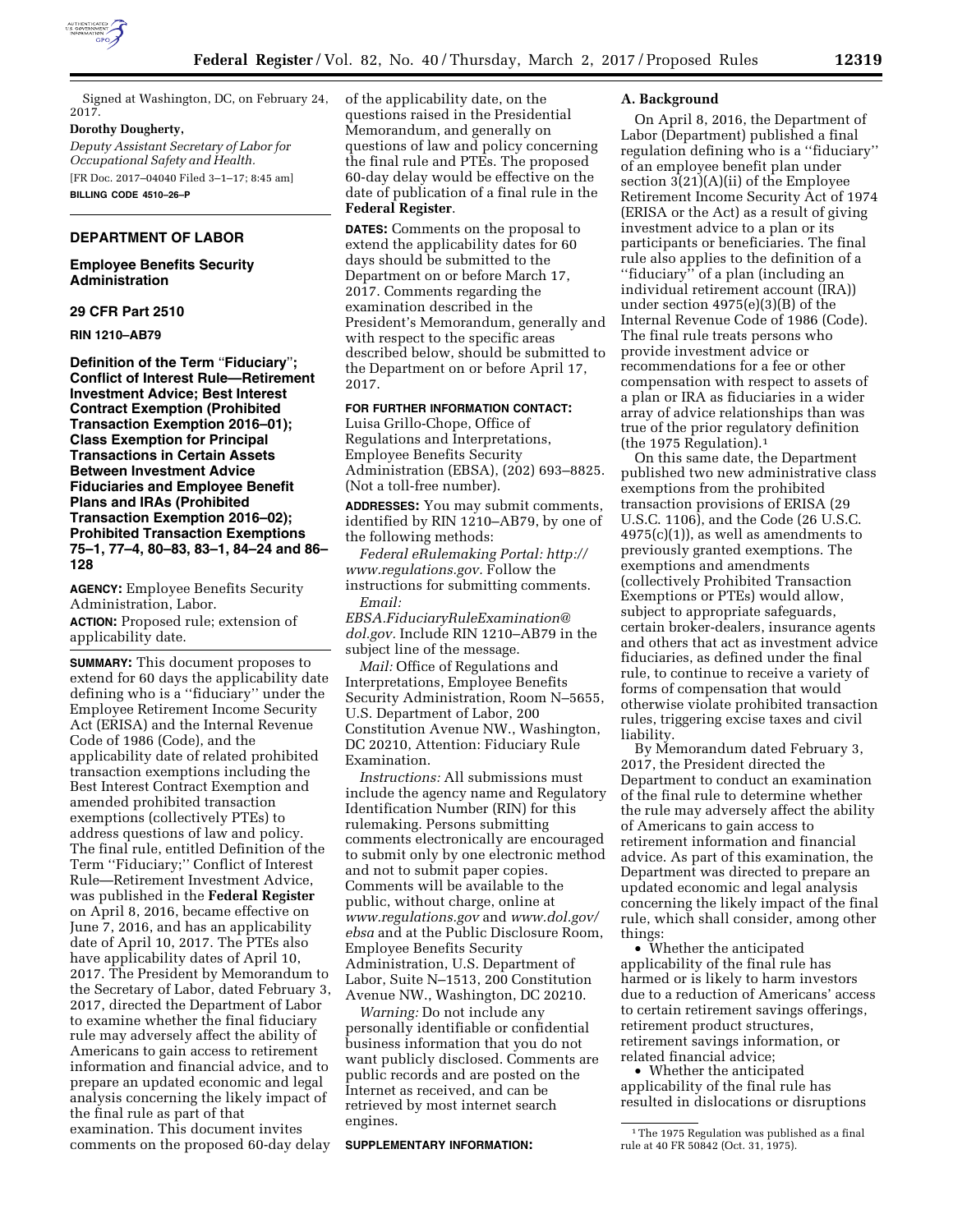

Signed at Washington, DC, on February 24, 2017.

### **Dorothy Dougherty,**

*Deputy Assistant Secretary of Labor for Occupational Safety and Health.*  [FR Doc. 2017–04040 Filed 3–1–17; 8:45 am] **BILLING CODE 4510–26–P** 

## **DEPARTMENT OF LABOR**

#### **Employee Benefits Security Administration**

### **29 CFR Part 2510**

#### **RIN 1210–AB79**

**Definition of the Term** ''**Fiduciary**''**; Conflict of Interest Rule—Retirement Investment Advice; Best Interest Contract Exemption (Prohibited Transaction Exemption 2016–01); Class Exemption for Principal Transactions in Certain Assets Between Investment Advice Fiduciaries and Employee Benefit Plans and IRAs (Prohibited Transaction Exemption 2016–02); Prohibited Transaction Exemptions 75–1, 77–4, 80–83, 83–1, 84–24 and 86– 128** 

**AGENCY:** Employee Benefits Security Administration, Labor. **ACTION:** Proposed rule; extension of applicability date.

**SUMMARY:** This document proposes to extend for 60 days the applicability date defining who is a ''fiduciary'' under the Employee Retirement Income Security Act (ERISA) and the Internal Revenue Code of 1986 (Code), and the applicability date of related prohibited transaction exemptions including the Best Interest Contract Exemption and amended prohibited transaction exemptions (collectively PTEs) to address questions of law and policy. The final rule, entitled Definition of the Term ''Fiduciary;'' Conflict of Interest Rule—Retirement Investment Advice, was published in the **Federal Register**  on April 8, 2016, became effective on June 7, 2016, and has an applicability date of April 10, 2017. The PTEs also have applicability dates of April 10, 2017. The President by Memorandum to the Secretary of Labor, dated February 3, 2017, directed the Department of Labor to examine whether the final fiduciary rule may adversely affect the ability of Americans to gain access to retirement information and financial advice, and to prepare an updated economic and legal analysis concerning the likely impact of the final rule as part of that examination. This document invites comments on the proposed 60-day delay of the applicability date, on the questions raised in the Presidential Memorandum, and generally on questions of law and policy concerning the final rule and PTEs. The proposed 60-day delay would be effective on the date of publication of a final rule in the **Federal Register**.

**DATES:** Comments on the proposal to extend the applicability dates for 60 days should be submitted to the Department on or before March 17, 2017. Comments regarding the examination described in the President's Memorandum, generally and with respect to the specific areas described below, should be submitted to the Department on or before April 17, 2017.

# **FOR FURTHER INFORMATION CONTACT:**

Luisa Grillo-Chope, Office of Regulations and Interpretations, Employee Benefits Security Administration (EBSA), (202) 693–8825. (Not a toll-free number).

**ADDRESSES:** You may submit comments, identified by RIN 1210–AB79, by one of the following methods:

*Federal eRulemaking Portal: [http://](http://www.regulations.gov) [www.regulations.gov.](http://www.regulations.gov)* Follow the instructions for submitting comments. *Email:* 

*[EBSA.FiduciaryRuleExamination@](mailto:EBSA.FiduciaryRuleExamination@dol.gov) [dol.gov.](mailto:EBSA.FiduciaryRuleExamination@dol.gov)* Include RIN 1210–AB79 in the subject line of the message.

*Mail:* Office of Regulations and Interpretations, Employee Benefits Security Administration, Room N–5655, U.S. Department of Labor, 200 Constitution Avenue NW., Washington, DC 20210, Attention: Fiduciary Rule Examination.

*Instructions:* All submissions must include the agency name and Regulatory Identification Number (RIN) for this rulemaking. Persons submitting comments electronically are encouraged to submit only by one electronic method and not to submit paper copies. Comments will be available to the public, without charge, online at *[www.regulations.gov](http://www.regulations.gov)* and *[www.dol.gov/](http://www.dol.gov/ebsa)  [ebsa](http://www.dol.gov/ebsa)* and at the Public Disclosure Room, Employee Benefits Security Administration, U.S. Department of Labor, Suite N–1513, 200 Constitution Avenue NW., Washington, DC 20210.

*Warning:* Do not include any personally identifiable or confidential business information that you do not want publicly disclosed. Comments are public records and are posted on the Internet as received, and can be retrieved by most internet search engines.

#### **SUPPLEMENTARY INFORMATION:**

#### **A. Background**

On April 8, 2016, the Department of Labor (Department) published a final regulation defining who is a ''fiduciary'' of an employee benefit plan under section 3(21)(A)(ii) of the Employee Retirement Income Security Act of 1974 (ERISA or the Act) as a result of giving investment advice to a plan or its participants or beneficiaries. The final rule also applies to the definition of a ''fiduciary'' of a plan (including an individual retirement account (IRA)) under section 4975(e)(3)(B) of the Internal Revenue Code of 1986 (Code). The final rule treats persons who provide investment advice or recommendations for a fee or other compensation with respect to assets of a plan or IRA as fiduciaries in a wider array of advice relationships than was true of the prior regulatory definition (the 1975 Regulation).1

On this same date, the Department published two new administrative class exemptions from the prohibited transaction provisions of ERISA (29 U.S.C. 1106), and the Code (26 U.S.C.  $4975(c)(1)$ , as well as amendments to previously granted exemptions. The exemptions and amendments (collectively Prohibited Transaction Exemptions or PTEs) would allow, subject to appropriate safeguards, certain broker-dealers, insurance agents and others that act as investment advice fiduciaries, as defined under the final rule, to continue to receive a variety of forms of compensation that would otherwise violate prohibited transaction rules, triggering excise taxes and civil liability.

By Memorandum dated February 3, 2017, the President directed the Department to conduct an examination of the final rule to determine whether the rule may adversely affect the ability of Americans to gain access to retirement information and financial advice. As part of this examination, the Department was directed to prepare an updated economic and legal analysis concerning the likely impact of the final rule, which shall consider, among other things:

• Whether the anticipated applicability of the final rule has harmed or is likely to harm investors due to a reduction of Americans' access to certain retirement savings offerings, retirement product structures, retirement savings information, or related financial advice;

• Whether the anticipated applicability of the final rule has resulted in dislocations or disruptions

<sup>&</sup>lt;sup>1</sup>The 1975 Regulation was published as a final rule at 40 FR 50842 (Oct. 31, 1975).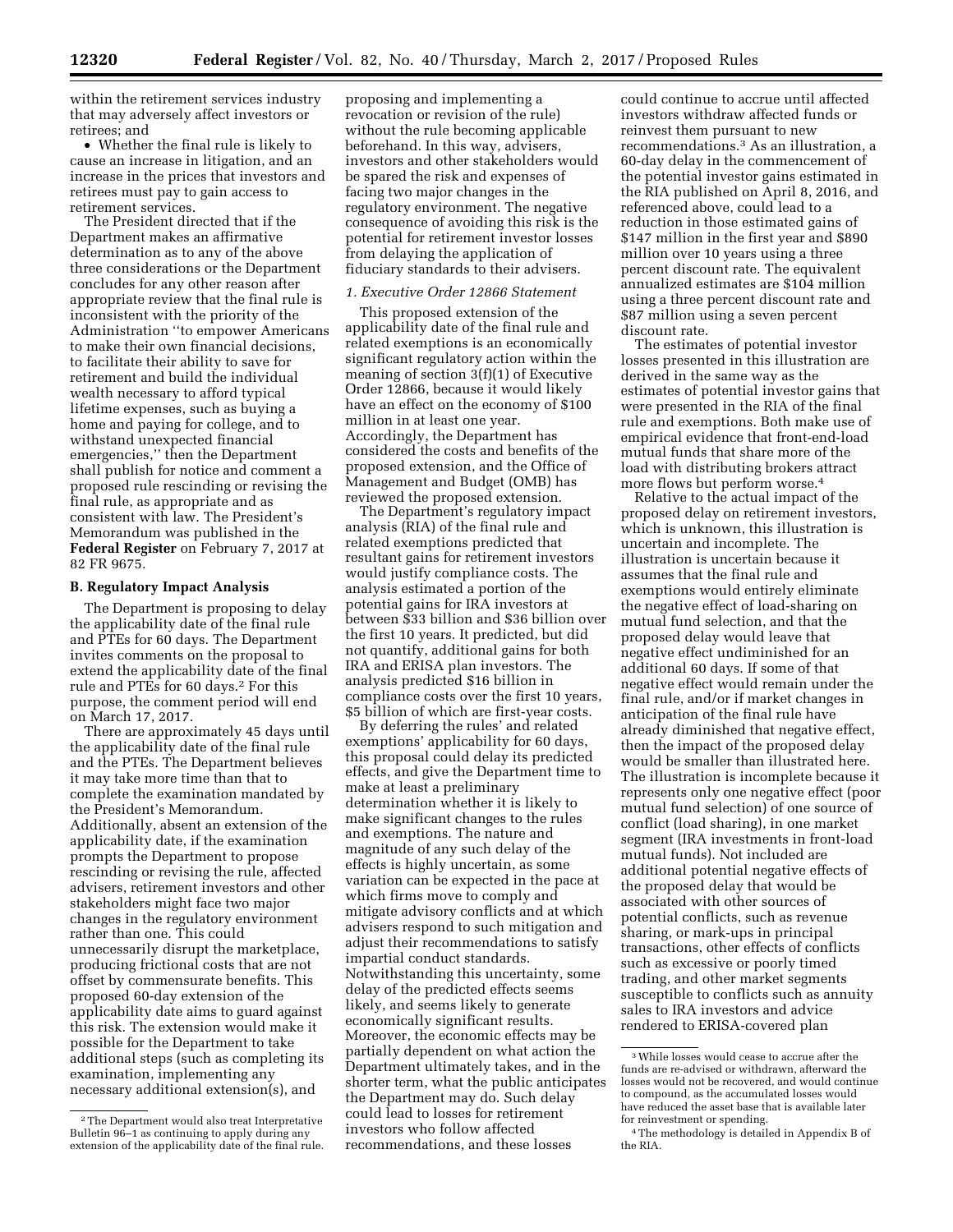within the retirement services industry that may adversely affect investors or retirees; and

• Whether the final rule is likely to cause an increase in litigation, and an increase in the prices that investors and retirees must pay to gain access to retirement services.

The President directed that if the Department makes an affirmative determination as to any of the above three considerations or the Department concludes for any other reason after appropriate review that the final rule is inconsistent with the priority of the Administration ''to empower Americans to make their own financial decisions, to facilitate their ability to save for retirement and build the individual wealth necessary to afford typical lifetime expenses, such as buying a home and paying for college, and to withstand unexpected financial emergencies,'' then the Department shall publish for notice and comment a proposed rule rescinding or revising the final rule, as appropriate and as consistent with law. The President's Memorandum was published in the **Federal Register** on February 7, 2017 at 82 FR 9675.

#### **B. Regulatory Impact Analysis**

The Department is proposing to delay the applicability date of the final rule and PTEs for 60 days. The Department invites comments on the proposal to extend the applicability date of the final rule and PTEs for 60 days.2 For this purpose, the comment period will end on March 17, 2017.

There are approximately 45 days until the applicability date of the final rule and the PTEs. The Department believes it may take more time than that to complete the examination mandated by the President's Memorandum. Additionally, absent an extension of the applicability date, if the examination prompts the Department to propose rescinding or revising the rule, affected advisers, retirement investors and other stakeholders might face two major changes in the regulatory environment rather than one. This could unnecessarily disrupt the marketplace, producing frictional costs that are not offset by commensurate benefits. This proposed 60-day extension of the applicability date aims to guard against this risk. The extension would make it possible for the Department to take additional steps (such as completing its examination, implementing any necessary additional extension(s), and

proposing and implementing a revocation or revision of the rule) without the rule becoming applicable beforehand. In this way, advisers, investors and other stakeholders would be spared the risk and expenses of facing two major changes in the regulatory environment. The negative consequence of avoiding this risk is the potential for retirement investor losses from delaying the application of fiduciary standards to their advisers.

#### *1. Executive Order 12866 Statement*

This proposed extension of the applicability date of the final rule and related exemptions is an economically significant regulatory action within the meaning of section 3(f)(1) of Executive Order 12866, because it would likely have an effect on the economy of \$100 million in at least one year. Accordingly, the Department has considered the costs and benefits of the proposed extension, and the Office of Management and Budget (OMB) has reviewed the proposed extension.

The Department's regulatory impact analysis (RIA) of the final rule and related exemptions predicted that resultant gains for retirement investors would justify compliance costs. The analysis estimated a portion of the potential gains for IRA investors at between \$33 billion and \$36 billion over the first 10 years. It predicted, but did not quantify, additional gains for both IRA and ERISA plan investors. The analysis predicted \$16 billion in compliance costs over the first 10 years, \$5 billion of which are first-year costs.

By deferring the rules' and related exemptions' applicability for 60 days, this proposal could delay its predicted effects, and give the Department time to make at least a preliminary determination whether it is likely to make significant changes to the rules and exemptions. The nature and magnitude of any such delay of the effects is highly uncertain, as some variation can be expected in the pace at which firms move to comply and mitigate advisory conflicts and at which advisers respond to such mitigation and adjust their recommendations to satisfy impartial conduct standards. Notwithstanding this uncertainty, some delay of the predicted effects seems likely, and seems likely to generate economically significant results. Moreover, the economic effects may be partially dependent on what action the Department ultimately takes, and in the shorter term, what the public anticipates the Department may do. Such delay could lead to losses for retirement investors who follow affected recommendations, and these losses

could continue to accrue until affected investors withdraw affected funds or reinvest them pursuant to new recommendations.3 As an illustration, a 60-day delay in the commencement of the potential investor gains estimated in the RIA published on April 8, 2016, and referenced above, could lead to a reduction in those estimated gains of \$147 million in the first year and \$890 million over 10 years using a three percent discount rate. The equivalent annualized estimates are \$104 million using a three percent discount rate and \$87 million using a seven percent discount rate.

The estimates of potential investor losses presented in this illustration are derived in the same way as the estimates of potential investor gains that were presented in the RIA of the final rule and exemptions. Both make use of empirical evidence that front-end-load mutual funds that share more of the load with distributing brokers attract more flows but perform worse.4

Relative to the actual impact of the proposed delay on retirement investors, which is unknown, this illustration is uncertain and incomplete. The illustration is uncertain because it assumes that the final rule and exemptions would entirely eliminate the negative effect of load-sharing on mutual fund selection, and that the proposed delay would leave that negative effect undiminished for an additional 60 days. If some of that negative effect would remain under the final rule, and/or if market changes in anticipation of the final rule have already diminished that negative effect, then the impact of the proposed delay would be smaller than illustrated here. The illustration is incomplete because it represents only one negative effect (poor mutual fund selection) of one source of conflict (load sharing), in one market segment (IRA investments in front-load mutual funds). Not included are additional potential negative effects of the proposed delay that would be associated with other sources of potential conflicts, such as revenue sharing, or mark-ups in principal transactions, other effects of conflicts such as excessive or poorly timed trading, and other market segments susceptible to conflicts such as annuity sales to IRA investors and advice rendered to ERISA-covered plan

<sup>2</sup>The Department would also treat Interpretative Bulletin 96–1 as continuing to apply during any extension of the applicability date of the final rule.

<sup>3</sup>While losses would cease to accrue after the funds are re-advised or withdrawn, afterward the losses would not be recovered, and would continue to compound, as the accumulated losses would have reduced the asset base that is available later for reinvestment or spending.

<sup>4</sup>The methodology is detailed in Appendix B of the RIA.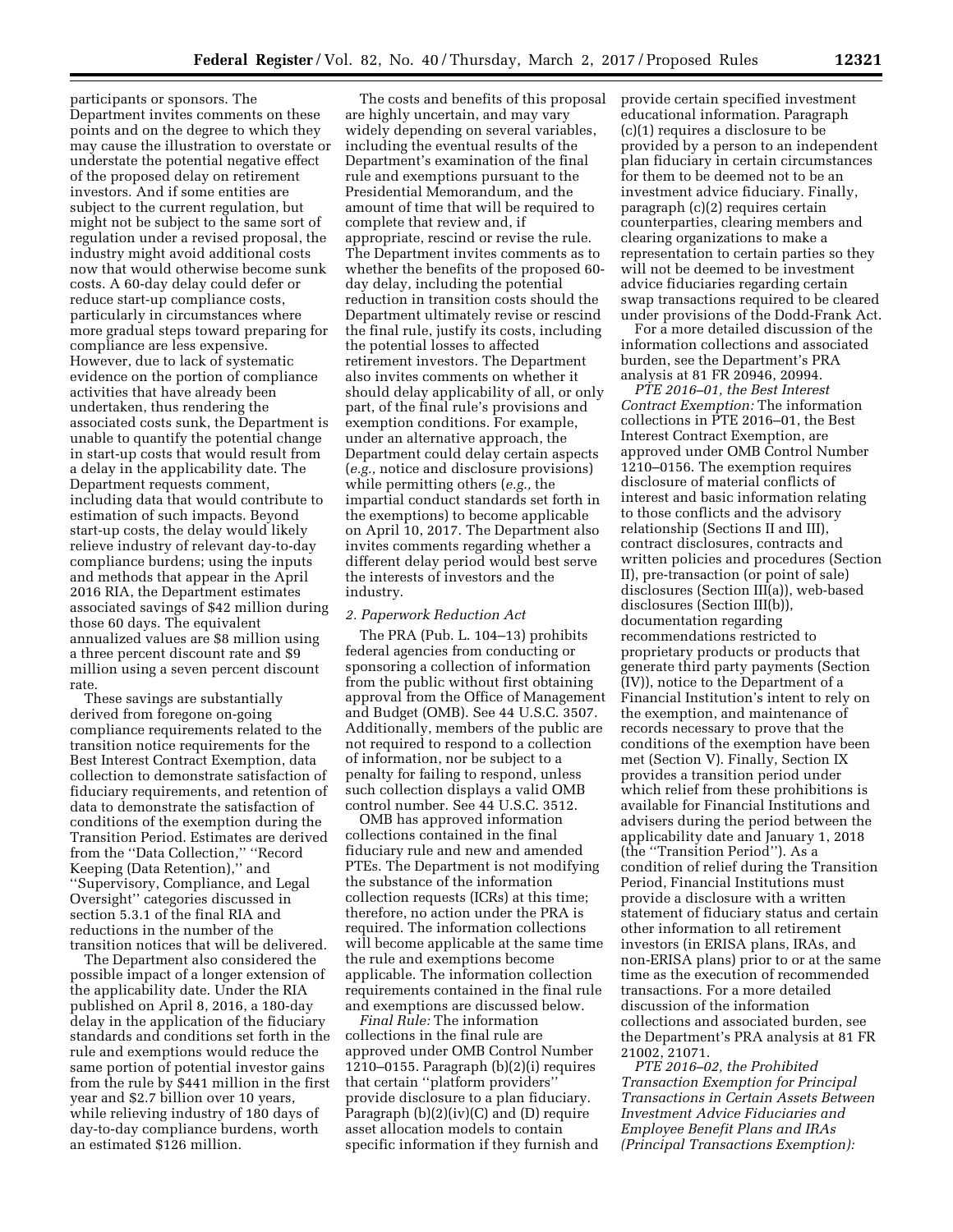participants or sponsors. The Department invites comments on these points and on the degree to which they may cause the illustration to overstate or understate the potential negative effect of the proposed delay on retirement investors. And if some entities are subject to the current regulation, but might not be subject to the same sort of regulation under a revised proposal, the industry might avoid additional costs now that would otherwise become sunk costs. A 60-day delay could defer or reduce start-up compliance costs, particularly in circumstances where more gradual steps toward preparing for compliance are less expensive. However, due to lack of systematic evidence on the portion of compliance activities that have already been undertaken, thus rendering the associated costs sunk, the Department is unable to quantify the potential change in start-up costs that would result from a delay in the applicability date. The Department requests comment, including data that would contribute to estimation of such impacts. Beyond start-up costs, the delay would likely relieve industry of relevant day-to-day compliance burdens; using the inputs and methods that appear in the April 2016 RIA, the Department estimates associated savings of \$42 million during those 60 days. The equivalent annualized values are \$8 million using a three percent discount rate and \$9 million using a seven percent discount rate.

These savings are substantially derived from foregone on-going compliance requirements related to the transition notice requirements for the Best Interest Contract Exemption, data collection to demonstrate satisfaction of fiduciary requirements, and retention of data to demonstrate the satisfaction of conditions of the exemption during the Transition Period. Estimates are derived from the ''Data Collection,'' ''Record Keeping (Data Retention),'' and ''Supervisory, Compliance, and Legal Oversight'' categories discussed in section 5.3.1 of the final RIA and reductions in the number of the transition notices that will be delivered.

The Department also considered the possible impact of a longer extension of the applicability date. Under the RIA published on April 8, 2016, a 180-day delay in the application of the fiduciary standards and conditions set forth in the rule and exemptions would reduce the same portion of potential investor gains from the rule by \$441 million in the first year and \$2.7 billion over 10 years, while relieving industry of 180 days of day-to-day compliance burdens, worth an estimated \$126 million.

The costs and benefits of this proposal are highly uncertain, and may vary widely depending on several variables, including the eventual results of the Department's examination of the final rule and exemptions pursuant to the Presidential Memorandum, and the amount of time that will be required to complete that review and, if appropriate, rescind or revise the rule. The Department invites comments as to whether the benefits of the proposed 60 day delay, including the potential reduction in transition costs should the Department ultimately revise or rescind the final rule, justify its costs, including the potential losses to affected retirement investors. The Department also invites comments on whether it should delay applicability of all, or only part, of the final rule's provisions and exemption conditions. For example, under an alternative approach, the Department could delay certain aspects (*e.g.,* notice and disclosure provisions) while permitting others (*e.g.,* the impartial conduct standards set forth in the exemptions) to become applicable on April 10, 2017. The Department also invites comments regarding whether a different delay period would best serve the interests of investors and the industry.

#### *2. Paperwork Reduction Act*

The PRA (Pub. L. 104–13) prohibits federal agencies from conducting or sponsoring a collection of information from the public without first obtaining approval from the Office of Management and Budget (OMB). See 44 U.S.C. 3507. Additionally, members of the public are not required to respond to a collection of information, nor be subject to a penalty for failing to respond, unless such collection displays a valid OMB control number. See 44 U.S.C. 3512.

OMB has approved information collections contained in the final fiduciary rule and new and amended PTEs. The Department is not modifying the substance of the information collection requests (ICRs) at this time; therefore, no action under the PRA is required. The information collections will become applicable at the same time the rule and exemptions become applicable. The information collection requirements contained in the final rule and exemptions are discussed below.

*Final Rule:* The information collections in the final rule are approved under OMB Control Number 1210–0155. Paragraph (b)(2)(i) requires that certain ''platform providers'' provide disclosure to a plan fiduciary. Paragraph (b)(2)(iv)(C) and (D) require asset allocation models to contain specific information if they furnish and provide certain specified investment educational information. Paragraph (c)(1) requires a disclosure to be provided by a person to an independent plan fiduciary in certain circumstances for them to be deemed not to be an investment advice fiduciary. Finally, paragraph (c)(2) requires certain counterparties, clearing members and clearing organizations to make a representation to certain parties so they will not be deemed to be investment advice fiduciaries regarding certain swap transactions required to be cleared under provisions of the Dodd-Frank Act.

For a more detailed discussion of the information collections and associated burden, see the Department's PRA analysis at 81 FR 20946, 20994.

*PTE 2016–01, the Best Interest Contract Exemption:* The information collections in PTE 2016–01, the Best Interest Contract Exemption, are approved under OMB Control Number 1210–0156. The exemption requires disclosure of material conflicts of interest and basic information relating to those conflicts and the advisory relationship (Sections II and III), contract disclosures, contracts and written policies and procedures (Section II), pre-transaction (or point of sale) disclosures (Section III(a)), web-based disclosures (Section III(b)), documentation regarding recommendations restricted to proprietary products or products that generate third party payments (Section (IV)), notice to the Department of a Financial Institution's intent to rely on the exemption, and maintenance of records necessary to prove that the conditions of the exemption have been met (Section V). Finally, Section IX provides a transition period under which relief from these prohibitions is available for Financial Institutions and advisers during the period between the applicability date and January 1, 2018 (the ''Transition Period''). As a condition of relief during the Transition Period, Financial Institutions must provide a disclosure with a written statement of fiduciary status and certain other information to all retirement investors (in ERISA plans, IRAs, and non-ERISA plans) prior to or at the same time as the execution of recommended transactions. For a more detailed discussion of the information collections and associated burden, see the Department's PRA analysis at 81 FR 21002, 21071.

*PTE 2016–02, the Prohibited Transaction Exemption for Principal Transactions in Certain Assets Between Investment Advice Fiduciaries and Employee Benefit Plans and IRAs (Principal Transactions Exemption):*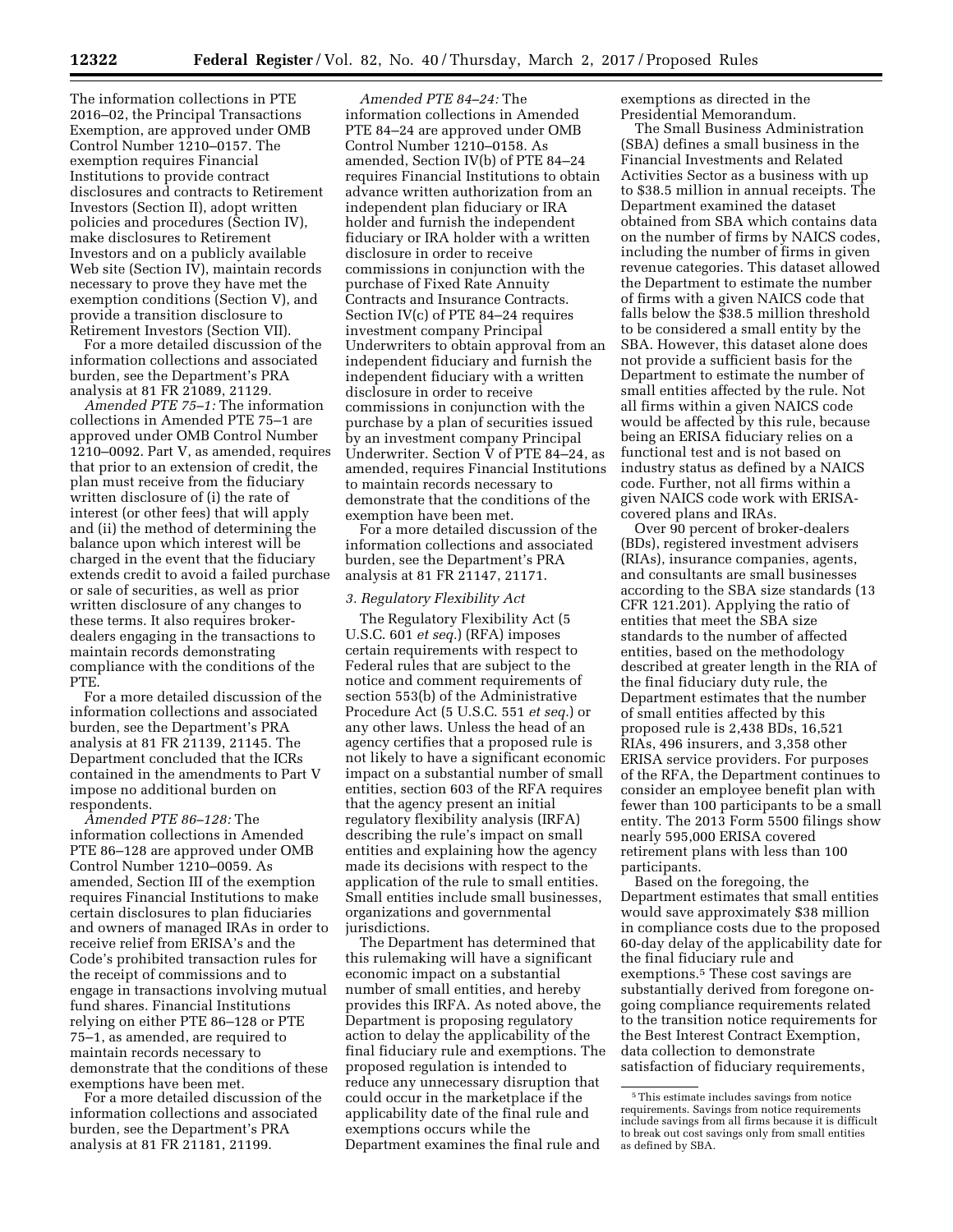The information collections in PTE 2016–02, the Principal Transactions Exemption, are approved under OMB Control Number 1210–0157. The exemption requires Financial Institutions to provide contract disclosures and contracts to Retirement Investors (Section II), adopt written policies and procedures (Section IV), make disclosures to Retirement Investors and on a publicly available Web site (Section IV), maintain records necessary to prove they have met the exemption conditions (Section V), and provide a transition disclosure to Retirement Investors (Section VII).

For a more detailed discussion of the information collections and associated burden, see the Department's PRA analysis at 81 FR 21089, 21129.

*Amended PTE 75–1:* The information collections in Amended PTE 75–1 are approved under OMB Control Number 1210–0092. Part V, as amended, requires that prior to an extension of credit, the plan must receive from the fiduciary written disclosure of (i) the rate of interest (or other fees) that will apply and (ii) the method of determining the balance upon which interest will be charged in the event that the fiduciary extends credit to avoid a failed purchase or sale of securities, as well as prior written disclosure of any changes to these terms. It also requires brokerdealers engaging in the transactions to maintain records demonstrating compliance with the conditions of the PTE.

For a more detailed discussion of the information collections and associated burden, see the Department's PRA analysis at 81 FR 21139, 21145. The Department concluded that the ICRs contained in the amendments to Part V impose no additional burden on respondents.

*Amended PTE 86–128:* The information collections in Amended PTE 86–128 are approved under OMB Control Number 1210–0059. As amended, Section III of the exemption requires Financial Institutions to make certain disclosures to plan fiduciaries and owners of managed IRAs in order to receive relief from ERISA's and the Code's prohibited transaction rules for the receipt of commissions and to engage in transactions involving mutual fund shares. Financial Institutions relying on either PTE 86–128 or PTE 75–1, as amended, are required to maintain records necessary to demonstrate that the conditions of these exemptions have been met.

For a more detailed discussion of the information collections and associated burden, see the Department's PRA analysis at 81 FR 21181, 21199.

*Amended PTE 84–24:* The information collections in Amended PTE 84–24 are approved under OMB Control Number 1210–0158. As amended, Section IV(b) of PTE 84–24 requires Financial Institutions to obtain advance written authorization from an independent plan fiduciary or IRA holder and furnish the independent fiduciary or IRA holder with a written disclosure in order to receive commissions in conjunction with the purchase of Fixed Rate Annuity Contracts and Insurance Contracts. Section IV(c) of PTE 84–24 requires investment company Principal Underwriters to obtain approval from an independent fiduciary and furnish the independent fiduciary with a written disclosure in order to receive commissions in conjunction with the purchase by a plan of securities issued by an investment company Principal Underwriter. Section V of PTE 84–24, as amended, requires Financial Institutions to maintain records necessary to demonstrate that the conditions of the exemption have been met.

For a more detailed discussion of the information collections and associated burden, see the Department's PRA analysis at 81 FR 21147, 21171.

### *3. Regulatory Flexibility Act*

The Regulatory Flexibility Act (5 U.S.C. 601 *et seq.*) (RFA) imposes certain requirements with respect to Federal rules that are subject to the notice and comment requirements of section 553(b) of the Administrative Procedure Act (5 U.S.C. 551 *et seq.*) or any other laws. Unless the head of an agency certifies that a proposed rule is not likely to have a significant economic impact on a substantial number of small entities, section 603 of the RFA requires that the agency present an initial regulatory flexibility analysis (IRFA) describing the rule's impact on small entities and explaining how the agency made its decisions with respect to the application of the rule to small entities. Small entities include small businesses, organizations and governmental jurisdictions.

The Department has determined that this rulemaking will have a significant economic impact on a substantial number of small entities, and hereby provides this IRFA. As noted above, the Department is proposing regulatory action to delay the applicability of the final fiduciary rule and exemptions. The proposed regulation is intended to reduce any unnecessary disruption that could occur in the marketplace if the applicability date of the final rule and exemptions occurs while the Department examines the final rule and

exemptions as directed in the Presidential Memorandum.

The Small Business Administration (SBA) defines a small business in the Financial Investments and Related Activities Sector as a business with up to \$38.5 million in annual receipts. The Department examined the dataset obtained from SBA which contains data on the number of firms by NAICS codes, including the number of firms in given revenue categories. This dataset allowed the Department to estimate the number of firms with a given NAICS code that falls below the \$38.5 million threshold to be considered a small entity by the SBA. However, this dataset alone does not provide a sufficient basis for the Department to estimate the number of small entities affected by the rule. Not all firms within a given NAICS code would be affected by this rule, because being an ERISA fiduciary relies on a functional test and is not based on industry status as defined by a NAICS code. Further, not all firms within a given NAICS code work with ERISAcovered plans and IRAs.

Over 90 percent of broker-dealers (BDs), registered investment advisers (RIAs), insurance companies, agents, and consultants are small businesses according to the SBA size standards (13 CFR 121.201). Applying the ratio of entities that meet the SBA size standards to the number of affected entities, based on the methodology described at greater length in the RIA of the final fiduciary duty rule, the Department estimates that the number of small entities affected by this proposed rule is 2,438 BDs, 16,521 RIAs, 496 insurers, and 3,358 other ERISA service providers. For purposes of the RFA, the Department continues to consider an employee benefit plan with fewer than 100 participants to be a small entity. The 2013 Form 5500 filings show nearly 595,000 ERISA covered retirement plans with less than 100 participants.

Based on the foregoing, the Department estimates that small entities would save approximately \$38 million in compliance costs due to the proposed 60-day delay of the applicability date for the final fiduciary rule and exemptions.5 These cost savings are substantially derived from foregone ongoing compliance requirements related to the transition notice requirements for the Best Interest Contract Exemption, data collection to demonstrate satisfaction of fiduciary requirements,

<sup>5</sup>This estimate includes savings from notice requirements. Savings from notice requirements include savings from all firms because it is difficult to break out cost savings only from small entities as defined by SBA.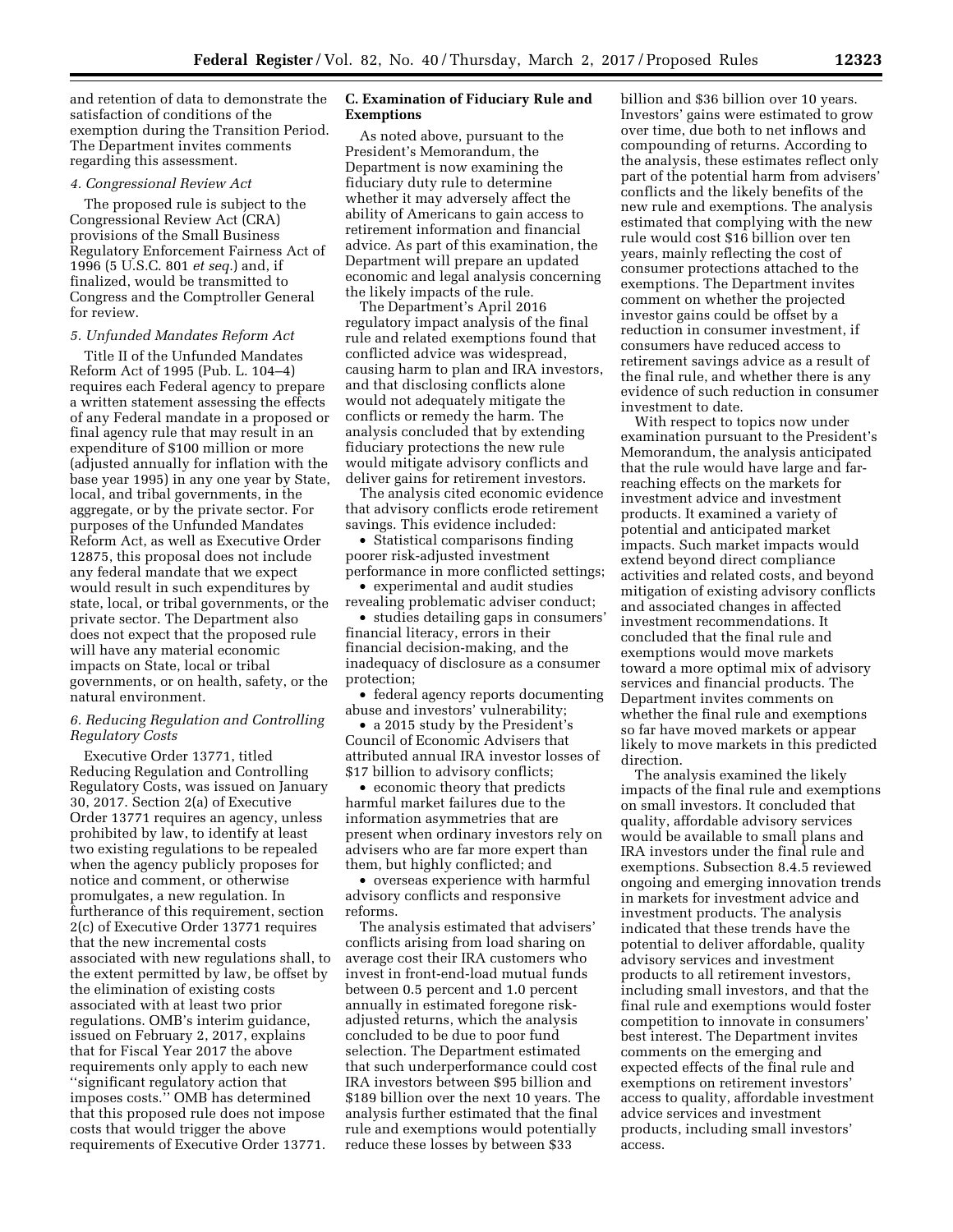and retention of data to demonstrate the satisfaction of conditions of the exemption during the Transition Period. The Department invites comments regarding this assessment.

#### *4. Congressional Review Act*

The proposed rule is subject to the Congressional Review Act (CRA) provisions of the Small Business Regulatory Enforcement Fairness Act of 1996 (5 U.S.C. 801 *et seq.*) and, if finalized, would be transmitted to Congress and the Comptroller General for review.

#### *5. Unfunded Mandates Reform Act*

Title II of the Unfunded Mandates Reform Act of 1995 (Pub. L. 104–4) requires each Federal agency to prepare a written statement assessing the effects of any Federal mandate in a proposed or final agency rule that may result in an expenditure of \$100 million or more (adjusted annually for inflation with the base year 1995) in any one year by State, local, and tribal governments, in the aggregate, or by the private sector. For purposes of the Unfunded Mandates Reform Act, as well as Executive Order 12875, this proposal does not include any federal mandate that we expect would result in such expenditures by state, local, or tribal governments, or the private sector. The Department also does not expect that the proposed rule will have any material economic impacts on State, local or tribal governments, or on health, safety, or the natural environment.

#### *6. Reducing Regulation and Controlling Regulatory Costs*

Executive Order 13771, titled Reducing Regulation and Controlling Regulatory Costs, was issued on January 30, 2017. Section 2(a) of Executive Order 13771 requires an agency, unless prohibited by law, to identify at least two existing regulations to be repealed when the agency publicly proposes for notice and comment, or otherwise promulgates, a new regulation. In furtherance of this requirement, section 2(c) of Executive Order 13771 requires that the new incremental costs associated with new regulations shall, to the extent permitted by law, be offset by the elimination of existing costs associated with at least two prior regulations. OMB's interim guidance, issued on February 2, 2017, explains that for Fiscal Year 2017 the above requirements only apply to each new ''significant regulatory action that imposes costs.'' OMB has determined that this proposed rule does not impose costs that would trigger the above requirements of Executive Order 13771.

### **C. Examination of Fiduciary Rule and Exemptions**

As noted above, pursuant to the President's Memorandum, the Department is now examining the fiduciary duty rule to determine whether it may adversely affect the ability of Americans to gain access to retirement information and financial advice. As part of this examination, the Department will prepare an updated economic and legal analysis concerning the likely impacts of the rule.

The Department's April 2016 regulatory impact analysis of the final rule and related exemptions found that conflicted advice was widespread, causing harm to plan and IRA investors, and that disclosing conflicts alone would not adequately mitigate the conflicts or remedy the harm. The analysis concluded that by extending fiduciary protections the new rule would mitigate advisory conflicts and deliver gains for retirement investors.

The analysis cited economic evidence that advisory conflicts erode retirement savings. This evidence included:

• Statistical comparisons finding poorer risk-adjusted investment performance in more conflicted settings;

• experimental and audit studies revealing problematic adviser conduct;

• studies detailing gaps in consumers' financial literacy, errors in their financial decision-making, and the inadequacy of disclosure as a consumer protection;

• federal agency reports documenting abuse and investors' vulnerability;

• a 2015 study by the President's Council of Economic Advisers that attributed annual IRA investor losses of \$17 billion to advisory conflicts;

• economic theory that predicts harmful market failures due to the information asymmetries that are present when ordinary investors rely on advisers who are far more expert than them, but highly conflicted; and

• overseas experience with harmful advisory conflicts and responsive reforms.

The analysis estimated that advisers' conflicts arising from load sharing on average cost their IRA customers who invest in front-end-load mutual funds between 0.5 percent and 1.0 percent annually in estimated foregone riskadjusted returns, which the analysis concluded to be due to poor fund selection. The Department estimated that such underperformance could cost IRA investors between \$95 billion and \$189 billion over the next 10 years. The analysis further estimated that the final rule and exemptions would potentially reduce these losses by between \$33

billion and \$36 billion over 10 years. Investors' gains were estimated to grow over time, due both to net inflows and compounding of returns. According to the analysis, these estimates reflect only part of the potential harm from advisers' conflicts and the likely benefits of the new rule and exemptions. The analysis estimated that complying with the new rule would cost \$16 billion over ten years, mainly reflecting the cost of consumer protections attached to the exemptions. The Department invites comment on whether the projected investor gains could be offset by a reduction in consumer investment, if consumers have reduced access to retirement savings advice as a result of the final rule, and whether there is any evidence of such reduction in consumer investment to date.

With respect to topics now under examination pursuant to the President's Memorandum, the analysis anticipated that the rule would have large and farreaching effects on the markets for investment advice and investment products. It examined a variety of potential and anticipated market impacts. Such market impacts would extend beyond direct compliance activities and related costs, and beyond mitigation of existing advisory conflicts and associated changes in affected investment recommendations. It concluded that the final rule and exemptions would move markets toward a more optimal mix of advisory services and financial products. The Department invites comments on whether the final rule and exemptions so far have moved markets or appear likely to move markets in this predicted direction.

The analysis examined the likely impacts of the final rule and exemptions on small investors. It concluded that quality, affordable advisory services would be available to small plans and IRA investors under the final rule and exemptions. Subsection 8.4.5 reviewed ongoing and emerging innovation trends in markets for investment advice and investment products. The analysis indicated that these trends have the potential to deliver affordable, quality advisory services and investment products to all retirement investors, including small investors, and that the final rule and exemptions would foster competition to innovate in consumers' best interest. The Department invites comments on the emerging and expected effects of the final rule and exemptions on retirement investors' access to quality, affordable investment advice services and investment products, including small investors' access.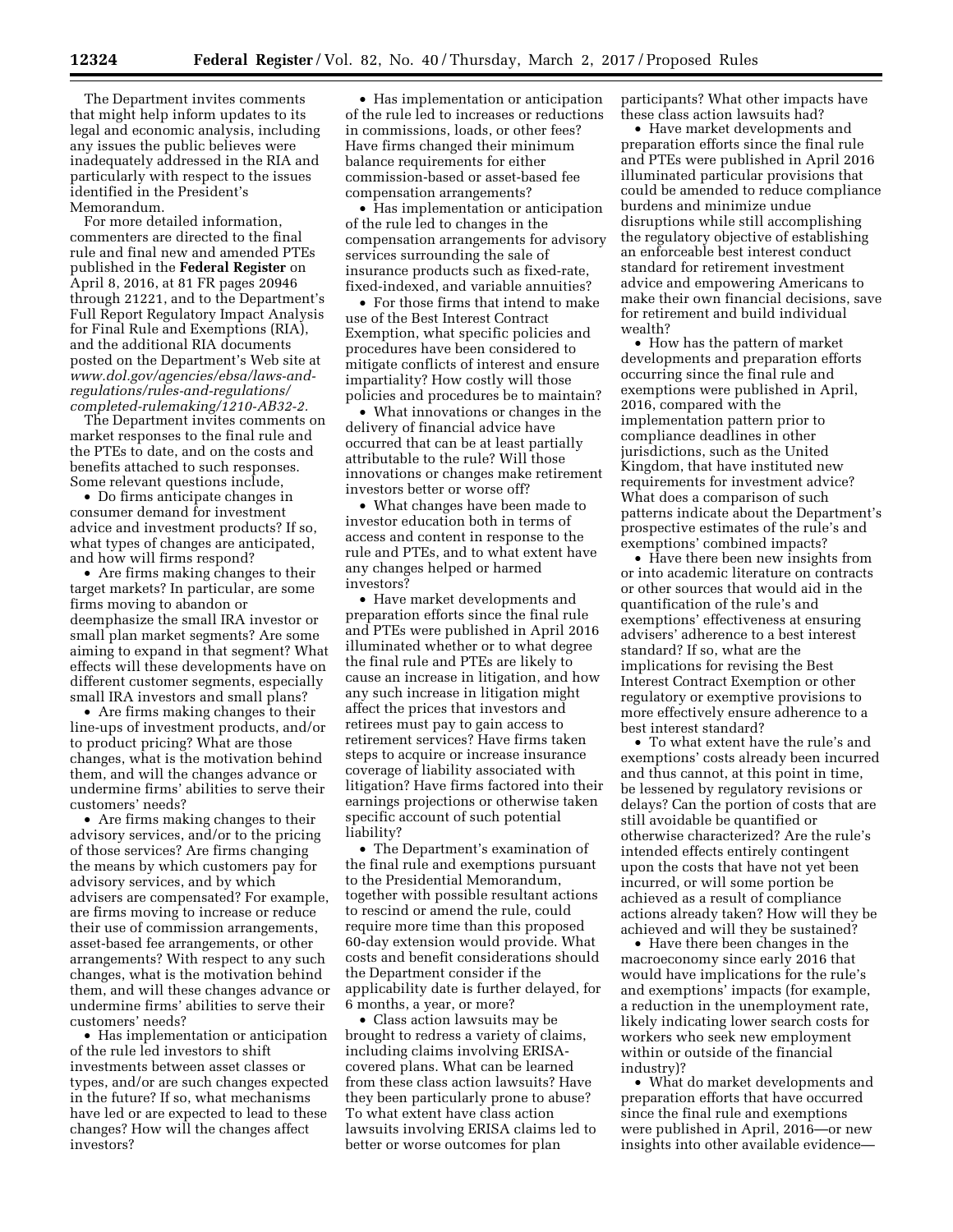The Department invites comments that might help inform updates to its legal and economic analysis, including any issues the public believes were inadequately addressed in the RIA and particularly with respect to the issues identified in the President's Memorandum.

For more detailed information, commenters are directed to the final rule and final new and amended PTEs published in the **Federal Register** on April 8, 2016, at 81 FR pages 20946 through 21221, and to the Department's Full Report Regulatory Impact Analysis for Final Rule and Exemptions (RIA), and the additional RIA documents posted on the Department's Web site at *[www.dol.gov/agencies/ebsa/laws-and](http://www.dol.gov/agencies/ebsa/laws-and-regulations/rules-and-regulations/completed-rulemaking/1210-AB32-2)[regulations/rules-and-regulations/](http://www.dol.gov/agencies/ebsa/laws-and-regulations/rules-and-regulations/completed-rulemaking/1210-AB32-2)  [completed-rulemaking/1210-AB32-2.](http://www.dol.gov/agencies/ebsa/laws-and-regulations/rules-and-regulations/completed-rulemaking/1210-AB32-2)* 

The Department invites comments on market responses to the final rule and the PTEs to date, and on the costs and benefits attached to such responses. Some relevant questions include,

• Do firms anticipate changes in consumer demand for investment advice and investment products? If so, what types of changes are anticipated, and how will firms respond?

• Are firms making changes to their target markets? In particular, are some firms moving to abandon or deemphasize the small IRA investor or small plan market segments? Are some aiming to expand in that segment? What effects will these developments have on different customer segments, especially small IRA investors and small plans?

• Are firms making changes to their line-ups of investment products, and/or to product pricing? What are those changes, what is the motivation behind them, and will the changes advance or undermine firms' abilities to serve their customers' needs?

• Are firms making changes to their advisory services, and/or to the pricing of those services? Are firms changing the means by which customers pay for advisory services, and by which advisers are compensated? For example, are firms moving to increase or reduce their use of commission arrangements, asset-based fee arrangements, or other arrangements? With respect to any such changes, what is the motivation behind them, and will these changes advance or undermine firms' abilities to serve their customers' needs?

• Has implementation or anticipation of the rule led investors to shift investments between asset classes or types, and/or are such changes expected in the future? If so, what mechanisms have led or are expected to lead to these changes? How will the changes affect investors?

• Has implementation or anticipation of the rule led to increases or reductions in commissions, loads, or other fees? Have firms changed their minimum balance requirements for either commission-based or asset-based fee compensation arrangements?

• Has implementation or anticipation of the rule led to changes in the compensation arrangements for advisory services surrounding the sale of insurance products such as fixed-rate, fixed-indexed, and variable annuities?

• For those firms that intend to make use of the Best Interest Contract Exemption, what specific policies and procedures have been considered to mitigate conflicts of interest and ensure impartiality? How costly will those policies and procedures be to maintain?

• What innovations or changes in the delivery of financial advice have occurred that can be at least partially attributable to the rule? Will those innovations or changes make retirement investors better or worse off?

• What changes have been made to investor education both in terms of access and content in response to the rule and PTEs, and to what extent have any changes helped or harmed investors?

• Have market developments and preparation efforts since the final rule and PTEs were published in April 2016 illuminated whether or to what degree the final rule and PTEs are likely to cause an increase in litigation, and how any such increase in litigation might affect the prices that investors and retirees must pay to gain access to retirement services? Have firms taken steps to acquire or increase insurance coverage of liability associated with litigation? Have firms factored into their earnings projections or otherwise taken specific account of such potential liability?

• The Department's examination of the final rule and exemptions pursuant to the Presidential Memorandum, together with possible resultant actions to rescind or amend the rule, could require more time than this proposed 60-day extension would provide. What costs and benefit considerations should the Department consider if the applicability date is further delayed, for 6 months, a year, or more?

• Class action lawsuits may be brought to redress a variety of claims, including claims involving ERISAcovered plans. What can be learned from these class action lawsuits? Have they been particularly prone to abuse? To what extent have class action lawsuits involving ERISA claims led to better or worse outcomes for plan

participants? What other impacts have these class action lawsuits had?

• Have market developments and preparation efforts since the final rule and PTEs were published in April 2016 illuminated particular provisions that could be amended to reduce compliance burdens and minimize undue disruptions while still accomplishing the regulatory objective of establishing an enforceable best interest conduct standard for retirement investment advice and empowering Americans to make their own financial decisions, save for retirement and build individual wealth?

• How has the pattern of market developments and preparation efforts occurring since the final rule and exemptions were published in April, 2016, compared with the implementation pattern prior to compliance deadlines in other jurisdictions, such as the United Kingdom, that have instituted new requirements for investment advice? What does a comparison of such patterns indicate about the Department's prospective estimates of the rule's and exemptions' combined impacts?

• Have there been new insights from or into academic literature on contracts or other sources that would aid in the quantification of the rule's and exemptions' effectiveness at ensuring advisers' adherence to a best interest standard? If so, what are the implications for revising the Best Interest Contract Exemption or other regulatory or exemptive provisions to more effectively ensure adherence to a best interest standard?

• To what extent have the rule's and exemptions' costs already been incurred and thus cannot, at this point in time, be lessened by regulatory revisions or delays? Can the portion of costs that are still avoidable be quantified or otherwise characterized? Are the rule's intended effects entirely contingent upon the costs that have not yet been incurred, or will some portion be achieved as a result of compliance actions already taken? How will they be achieved and will they be sustained?

• Have there been changes in the macroeconomy since early 2016 that would have implications for the rule's and exemptions' impacts (for example, a reduction in the unemployment rate, likely indicating lower search costs for workers who seek new employment within or outside of the financial industry)?

• What do market developments and preparation efforts that have occurred since the final rule and exemptions were published in April, 2016—or new insights into other available evidence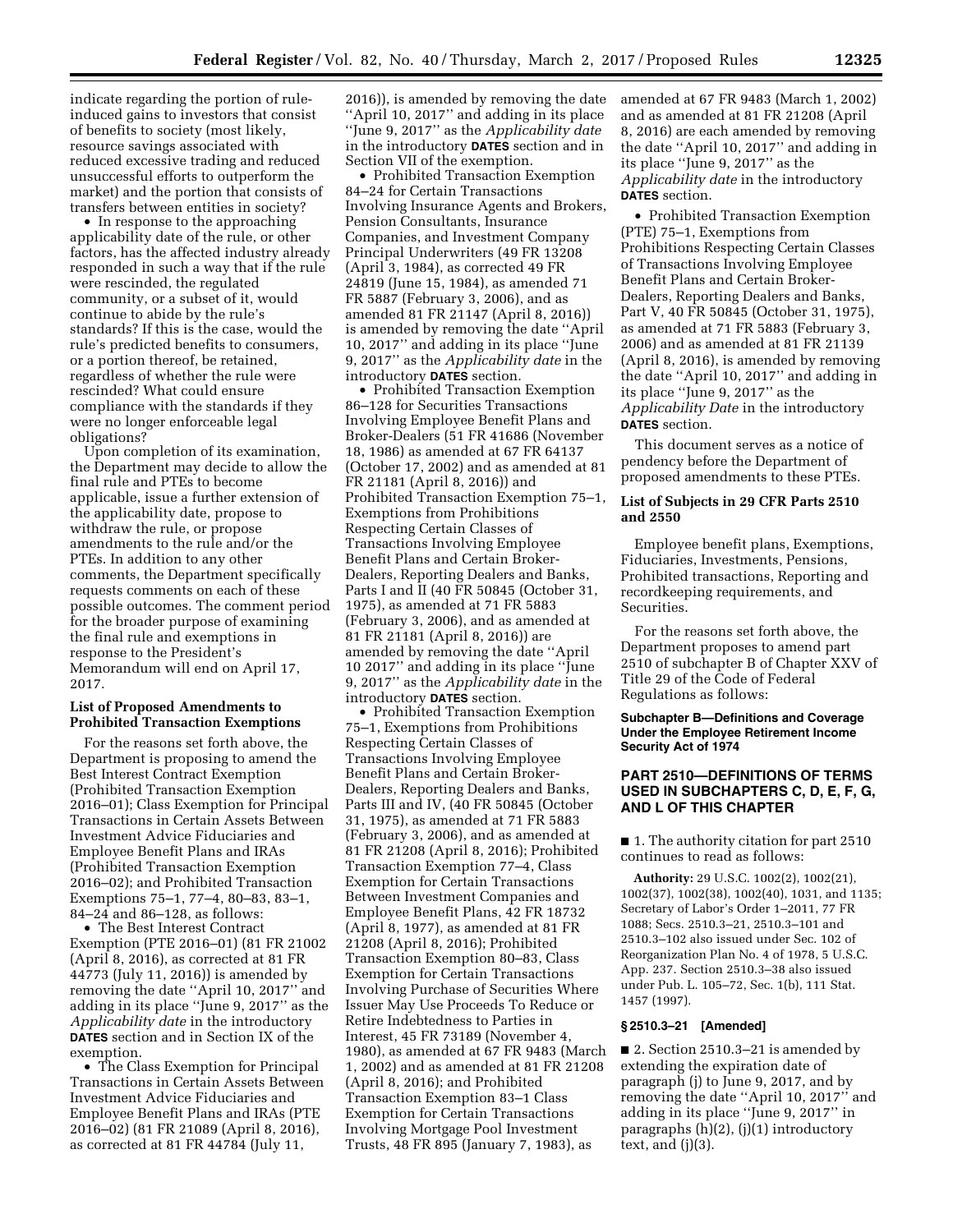indicate regarding the portion of ruleinduced gains to investors that consist of benefits to society (most likely, resource savings associated with reduced excessive trading and reduced unsuccessful efforts to outperform the market) and the portion that consists of transfers between entities in society?

• In response to the approaching applicability date of the rule, or other factors, has the affected industry already responded in such a way that if the rule were rescinded, the regulated community, or a subset of it, would continue to abide by the rule's standards? If this is the case, would the rule's predicted benefits to consumers, or a portion thereof, be retained, regardless of whether the rule were rescinded? What could ensure compliance with the standards if they were no longer enforceable legal obligations?

Upon completion of its examination, the Department may decide to allow the final rule and PTEs to become applicable, issue a further extension of the applicability date, propose to withdraw the rule, or propose amendments to the rule and/or the PTEs. In addition to any other comments, the Department specifically requests comments on each of these possible outcomes. The comment period for the broader purpose of examining the final rule and exemptions in response to the President's Memorandum will end on April 17, 2017.

## **List of Proposed Amendments to Prohibited Transaction Exemptions**

For the reasons set forth above, the Department is proposing to amend the Best Interest Contract Exemption (Prohibited Transaction Exemption 2016–01); Class Exemption for Principal Transactions in Certain Assets Between Investment Advice Fiduciaries and Employee Benefit Plans and IRAs (Prohibited Transaction Exemption 2016–02); and Prohibited Transaction Exemptions 75–1, 77–4, 80–83, 83–1, 84–24 and 86–128, as follows:

• The Best Interest Contract Exemption (PTE 2016–01) (81 FR 21002 (April 8, 2016), as corrected at 81 FR 44773 (July 11, 2016)) is amended by removing the date ''April 10, 2017'' and adding in its place ''June 9, 2017'' as the *Applicability date* in the introductory **DATES** section and in Section IX of the exemption.

• The Class Exemption for Principal Transactions in Certain Assets Between Investment Advice Fiduciaries and Employee Benefit Plans and IRAs (PTE 2016–02) (81 FR 21089 (April 8, 2016), as corrected at 81 FR 44784 (July 11,

2016)), is amended by removing the date ''April 10, 2017'' and adding in its place ''June 9, 2017'' as the *Applicability date*  in the introductory **DATES** section and in Section VII of the exemption.

• Prohibited Transaction Exemption 84–24 for Certain Transactions Involving Insurance Agents and Brokers, Pension Consultants, Insurance Companies, and Investment Company Principal Underwriters (49 FR 13208 (April 3, 1984), as corrected 49 FR 24819 (June 15, 1984), as amended 71 FR 5887 (February 3, 2006), and as amended 81 FR 21147 (April 8, 2016)) is amended by removing the date ''April 10, 2017'' and adding in its place ''June 9, 2017'' as the *Applicability date* in the introductory **DATES** section.

• Prohibited Transaction Exemption 86–128 for Securities Transactions Involving Employee Benefit Plans and Broker-Dealers (51 FR 41686 (November 18, 1986) as amended at 67 FR 64137 (October 17, 2002) and as amended at 81 FR 21181 (April 8, 2016)) and Prohibited Transaction Exemption 75–1, Exemptions from Prohibitions Respecting Certain Classes of Transactions Involving Employee Benefit Plans and Certain Broker-Dealers, Reporting Dealers and Banks, Parts I and II (40 FR 50845 (October 31, 1975), as amended at 71 FR 5883 (February 3, 2006), and as amended at 81 FR 21181 (April 8, 2016)) are amended by removing the date ''April 10 2017'' and adding in its place ''June 9, 2017'' as the *Applicability date* in the introductory **DATES** section.

• Prohibited Transaction Exemption 75–1, Exemptions from Prohibitions Respecting Certain Classes of Transactions Involving Employee Benefit Plans and Certain Broker-Dealers, Reporting Dealers and Banks, Parts III and IV, (40 FR 50845 (October 31, 1975), as amended at 71 FR 5883 (February 3, 2006), and as amended at 81 FR 21208 (April 8, 2016); Prohibited Transaction Exemption 77–4, Class Exemption for Certain Transactions Between Investment Companies and Employee Benefit Plans, 42 FR 18732 (April 8, 1977), as amended at 81 FR 21208 (April 8, 2016); Prohibited Transaction Exemption 80–83, Class Exemption for Certain Transactions Involving Purchase of Securities Where Issuer May Use Proceeds To Reduce or Retire Indebtedness to Parties in Interest, 45 FR 73189 (November 4, 1980), as amended at 67 FR 9483 (March 1, 2002) and as amended at 81 FR 21208 (April 8, 2016); and Prohibited Transaction Exemption 83–1 Class Exemption for Certain Transactions Involving Mortgage Pool Investment Trusts, 48 FR 895 (January 7, 1983), as

amended at 67 FR 9483 (March 1, 2002) and as amended at 81 FR 21208 (April 8, 2016) are each amended by removing the date ''April 10, 2017'' and adding in its place ''June 9, 2017'' as the *Applicability date* in the introductory **DATES** section.

• Prohibited Transaction Exemption (PTE) 75–1, Exemptions from Prohibitions Respecting Certain Classes of Transactions Involving Employee Benefit Plans and Certain Broker-Dealers, Reporting Dealers and Banks, Part V, 40 FR 50845 (October 31, 1975), as amended at 71 FR 5883 (February 3, 2006) and as amended at 81 FR 21139 (April 8, 2016), is amended by removing the date ''April 10, 2017'' and adding in its place ''June 9, 2017'' as the *Applicability Date* in the introductory **DATES** section.

This document serves as a notice of pendency before the Department of proposed amendments to these PTEs.

#### **List of Subjects in 29 CFR Parts 2510 and 2550**

Employee benefit plans, Exemptions, Fiduciaries, Investments, Pensions, Prohibited transactions, Reporting and recordkeeping requirements, and Securities.

For the reasons set forth above, the Department proposes to amend part 2510 of subchapter B of Chapter XXV of Title 29 of the Code of Federal Regulations as follows:

#### **Subchapter B—Definitions and Coverage Under the Employee Retirement Income Security Act of 1974**

## **PART 2510—DEFINITIONS OF TERMS USED IN SUBCHAPTERS C, D, E, F, G, AND L OF THIS CHAPTER**

■ 1. The authority citation for part 2510 continues to read as follows:

**Authority:** 29 U.S.C. 1002(2), 1002(21), 1002(37), 1002(38), 1002(40), 1031, and 1135; Secretary of Labor's Order 1–2011, 77 FR 1088; Secs. 2510.3–21, 2510.3–101 and 2510.3–102 also issued under Sec. 102 of Reorganization Plan No. 4 of 1978, 5 U.S.C. App. 237. Section 2510.3–38 also issued under Pub. L. 105–72, Sec. 1(b), 111 Stat. 1457 (1997).

#### **§ 2510.3–21 [Amended]**

■ 2. Section 2510.3–21 is amended by extending the expiration date of paragraph (j) to June 9, 2017, and by removing the date ''April 10, 2017'' and adding in its place ''June 9, 2017'' in paragraphs (h)(2), (j)(1) introductory text, and  $(j)(3)$ .